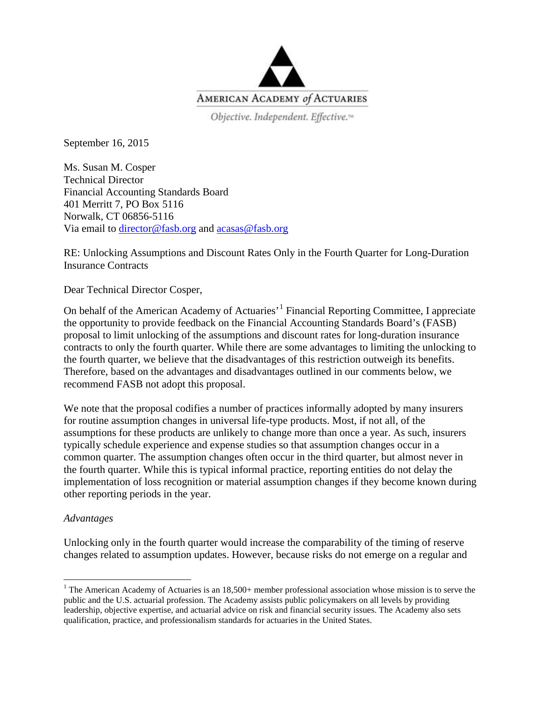

Objective. Independent. Effective.<sup>14</sup>

September 16, 2015

Ms. Susan M. Cosper Technical Director Financial Accounting Standards Board 401 Merritt 7, PO Box 5116 Norwalk, CT 06856-5116 Via email to [director@fasb.org](mailto:director@fasb.org) and [acasas@fasb.org](mailto:acasas@fasb.org)

RE: Unlocking Assumptions and Discount Rates Only in the Fourth Quarter for Long-Duration Insurance Contracts

Dear Technical Director Cosper,

On behalf of the American Academy of Actuaries'[1](#page-0-0) Financial Reporting Committee, I appreciate the opportunity to provide feedback on the Financial Accounting Standards Board's (FASB) proposal to limit unlocking of the assumptions and discount rates for long-duration insurance contracts to only the fourth quarter. While there are some advantages to limiting the unlocking to the fourth quarter, we believe that the disadvantages of this restriction outweigh its benefits. Therefore, based on the advantages and disadvantages outlined in our comments below, we recommend FASB not adopt this proposal.

We note that the proposal codifies a number of practices informally adopted by many insurers for routine assumption changes in universal life-type products. Most, if not all, of the assumptions for these products are unlikely to change more than once a year. As such, insurers typically schedule experience and expense studies so that assumption changes occur in a common quarter. The assumption changes often occur in the third quarter, but almost never in the fourth quarter. While this is typical informal practice, reporting entities do not delay the implementation of loss recognition or material assumption changes if they become known during other reporting periods in the year.

## *Advantages*

Unlocking only in the fourth quarter would increase the comparability of the timing of reserve changes related to assumption updates. However, because risks do not emerge on a regular and

<span id="page-0-0"></span><sup>&</sup>lt;sup>1</sup> The American Academy of Actuaries is an  $18,500+$  member professional association whose mission is to serve the public and the U.S. actuarial profession. The Academy assists public policymakers on all levels by providing leadership, objective expertise, and actuarial advice on risk and financial security issues. The Academy also sets qualification, practice, and professionalism standards for actuaries in the United States.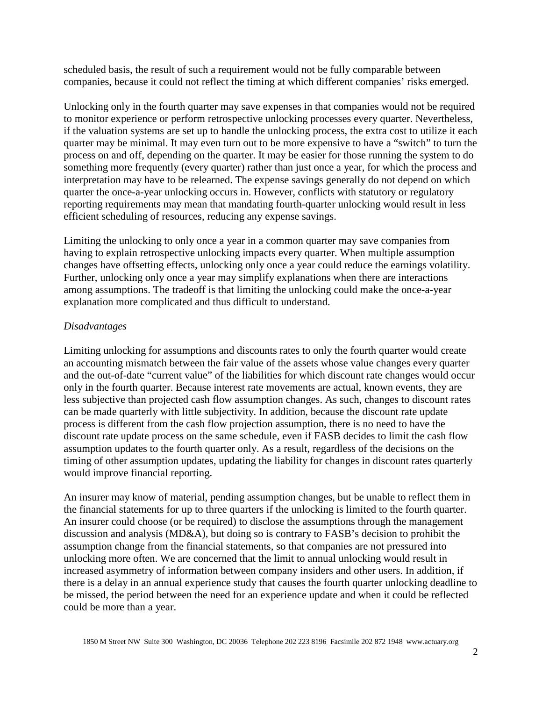scheduled basis, the result of such a requirement would not be fully comparable between companies, because it could not reflect the timing at which different companies' risks emerged.

Unlocking only in the fourth quarter may save expenses in that companies would not be required to monitor experience or perform retrospective unlocking processes every quarter. Nevertheless, if the valuation systems are set up to handle the unlocking process, the extra cost to utilize it each quarter may be minimal. It may even turn out to be more expensive to have a "switch" to turn the process on and off, depending on the quarter. It may be easier for those running the system to do something more frequently (every quarter) rather than just once a year, for which the process and interpretation may have to be relearned. The expense savings generally do not depend on which quarter the once-a-year unlocking occurs in. However, conflicts with statutory or regulatory reporting requirements may mean that mandating fourth-quarter unlocking would result in less efficient scheduling of resources, reducing any expense savings.

Limiting the unlocking to only once a year in a common quarter may save companies from having to explain retrospective unlocking impacts every quarter. When multiple assumption changes have offsetting effects, unlocking only once a year could reduce the earnings volatility. Further, unlocking only once a year may simplify explanations when there are interactions among assumptions. The tradeoff is that limiting the unlocking could make the once-a-year explanation more complicated and thus difficult to understand.

## *Disadvantages*

Limiting unlocking for assumptions and discounts rates to only the fourth quarter would create an accounting mismatch between the fair value of the assets whose value changes every quarter and the out-of-date "current value" of the liabilities for which discount rate changes would occur only in the fourth quarter. Because interest rate movements are actual, known events, they are less subjective than projected cash flow assumption changes. As such, changes to discount rates can be made quarterly with little subjectivity. In addition, because the discount rate update process is different from the cash flow projection assumption, there is no need to have the discount rate update process on the same schedule, even if FASB decides to limit the cash flow assumption updates to the fourth quarter only. As a result, regardless of the decisions on the timing of other assumption updates, updating the liability for changes in discount rates quarterly would improve financial reporting.

An insurer may know of material, pending assumption changes, but be unable to reflect them in the financial statements for up to three quarters if the unlocking is limited to the fourth quarter. An insurer could choose (or be required) to disclose the assumptions through the management discussion and analysis (MD&A), but doing so is contrary to FASB's decision to prohibit the assumption change from the financial statements, so that companies are not pressured into unlocking more often. We are concerned that the limit to annual unlocking would result in increased asymmetry of information between company insiders and other users. In addition, if there is a delay in an annual experience study that causes the fourth quarter unlocking deadline to be missed, the period between the need for an experience update and when it could be reflected could be more than a year.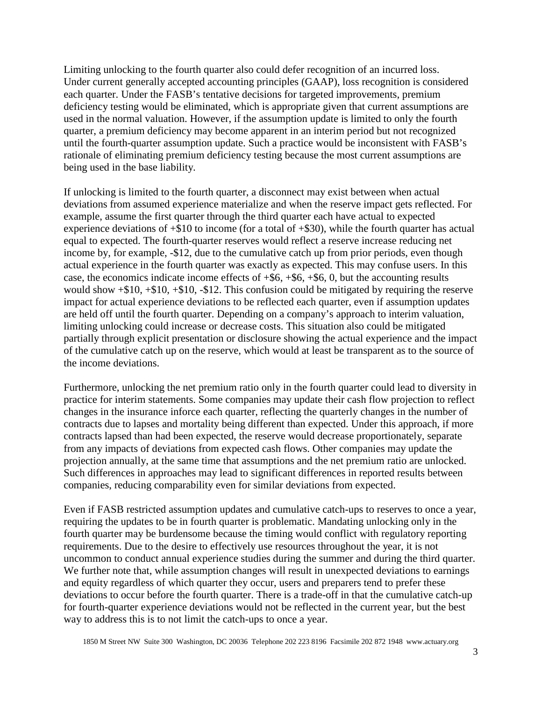Limiting unlocking to the fourth quarter also could defer recognition of an incurred loss. Under current generally accepted accounting principles (GAAP), loss recognition is considered each quarter. Under the FASB's tentative decisions for targeted improvements, premium deficiency testing would be eliminated, which is appropriate given that current assumptions are used in the normal valuation. However, if the assumption update is limited to only the fourth quarter, a premium deficiency may become apparent in an interim period but not recognized until the fourth-quarter assumption update. Such a practice would be inconsistent with FASB's rationale of eliminating premium deficiency testing because the most current assumptions are being used in the base liability.

If unlocking is limited to the fourth quarter, a disconnect may exist between when actual deviations from assumed experience materialize and when the reserve impact gets reflected. For example, assume the first quarter through the third quarter each have actual to expected experience deviations of  $+\$10$  to income (for a total of  $+\$30$ ), while the fourth quarter has actual equal to expected. The fourth-quarter reserves would reflect a reserve increase reducing net income by, for example, -\$12, due to the cumulative catch up from prior periods, even though actual experience in the fourth quarter was exactly as expected. This may confuse users. In this case, the economics indicate income effects of  $+$ \$6,  $+$ \$6,  $+$ \$6, 0, but the accounting results would show +\$10, +\$10, +\$10, -\$12. This confusion could be mitigated by requiring the reserve impact for actual experience deviations to be reflected each quarter, even if assumption updates are held off until the fourth quarter. Depending on a company's approach to interim valuation, limiting unlocking could increase or decrease costs. This situation also could be mitigated partially through explicit presentation or disclosure showing the actual experience and the impact of the cumulative catch up on the reserve, which would at least be transparent as to the source of the income deviations.

Furthermore, unlocking the net premium ratio only in the fourth quarter could lead to diversity in practice for interim statements. Some companies may update their cash flow projection to reflect changes in the insurance inforce each quarter, reflecting the quarterly changes in the number of contracts due to lapses and mortality being different than expected. Under this approach, if more contracts lapsed than had been expected, the reserve would decrease proportionately, separate from any impacts of deviations from expected cash flows. Other companies may update the projection annually, at the same time that assumptions and the net premium ratio are unlocked. Such differences in approaches may lead to significant differences in reported results between companies, reducing comparability even for similar deviations from expected.

Even if FASB restricted assumption updates and cumulative catch-ups to reserves to once a year, requiring the updates to be in fourth quarter is problematic. Mandating unlocking only in the fourth quarter may be burdensome because the timing would conflict with regulatory reporting requirements. Due to the desire to effectively use resources throughout the year, it is not uncommon to conduct annual experience studies during the summer and during the third quarter. We further note that, while assumption changes will result in unexpected deviations to earnings and equity regardless of which quarter they occur, users and preparers tend to prefer these deviations to occur before the fourth quarter. There is a trade-off in that the cumulative catch-up for fourth-quarter experience deviations would not be reflected in the current year, but the best way to address this is to not limit the catch-ups to once a year.